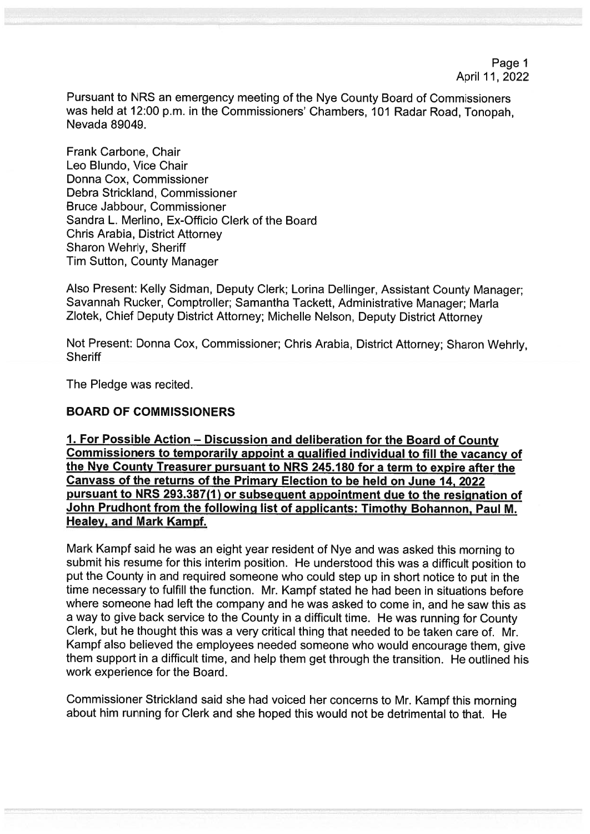Pursuant to NRS an emergency meeting of the Nye County Board of Commissioners was held at 12:00 p.m. in the Commissioners' Chambers, 101 Radar Road, Tonopah, Nevada 89049.

Frank Carbone, Chair Leo Blundo, Vice Chair Donna Cox, Commissioner Debra Strickland, Commissioner Bruce Jabbour, Commissioner Sandra L. Merlino, Ex-Officio Clerk of the Board Chris Arabia, District Attorney Sharon Wehrly, Sheriff Tim Sutton, County Manager

Also Present: Kelly Sidman, Deputy Clerk; Lorina Dellinger, Assistant County Manager; Savannah Rucker, Comptroller; Samantha Tackett, Administrative Manager; Maria Zlotek, Chief Deputy District Attorney; Michelle Nelson, Deputy District Attorney

Not Present: Donna Cox, Commissioner; Chris Arabia, District Attorney; Sharon Wehriy, **Sheriff** 

The Pledge was recited.

## BOARD OF COMMISSIONERS

1. For Possible Action — Discussion and deliberation for the Board of County Commissioners to temporarily appoint a qualified individual to fill the vacancy of the Nye County Treasurer pursuant to NRS 245.180 for a term to expire after the Canvass of the returns of the Primary Election to be held on June 14, 2022 pursuant to NRS 293.387(1) or subsequent appointment due to the resignation of John Prudhont from the following list of applicants: Timothy Bohannon, Paul M. Healey, and Mark Kampf.

Mark Kampf said he was an eight year resident of Nye and was asked this morning to submit his resume for this interim position. He understood this was a difficult position to put the County in and required someone who could step up in short notice to put in the time necessary to fulfill the function. Mr. Kampf stated he had been in situations before where someone had left the company and he was asked to come in, and he saw this as a way to give back service to the County in a difficult time. He was running for County Clerk, but he thought this was a very critical thing that needed to be taken care of. Mr. Kampf also believed the employees needed someone who would encourage them, give them support in a difficult time, and help them get through the transition. He outlined his work experience for the Board.

Commissioner Strickland said she had voiced her concerns to Mr. Kampf this morning about him running for Clerk and she hoped this would not be detrimental to that. He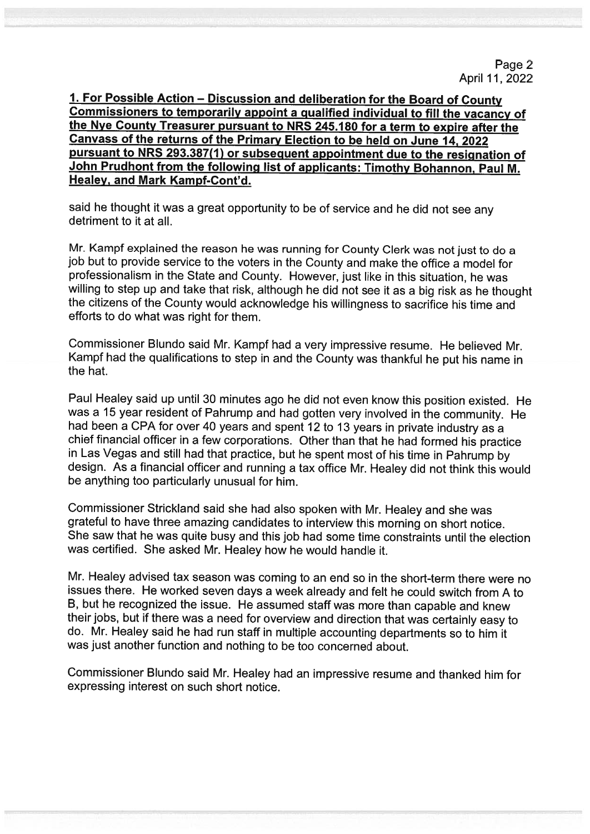said he thought it was <sup>a</sup> great opportunity to be of service and he did not see any detriment to it at all.

Mr. Kampf explained the reason he was running for County Clerk was not just to do <sup>a</sup> job but to provide service to the voters in the County and make the office a model for professionalism in the State and County. However, just like in this situation, he was willing to step up and take that risk, although he did not see it as <sup>a</sup> big risk as he thought the citizens of the County would acknowledge his willingness to sacrifice his time and efforts to do what was right for them.

Commissioner Blundo said Mr. Kampf had <sup>a</sup> very impressive resume. He believed Mr. Kampf had the qualifications to step in and the County was thankful he put his name in the hat.

Paul Healey said up until <sup>30</sup> minutes ago he did not even know this position existed. He was <sup>a</sup> <sup>15</sup> year resident of Pahrump and had gotten very involved in the community. He had been <sup>a</sup> CPA for over <sup>40</sup> years and spent <sup>12</sup> to <sup>13</sup> years in private industry as <sup>a</sup> chief financial officer in <sup>a</sup> few corporations. Other than that he had formed his practice in Las Vegas and still had that practice, but he spent most of his time in Pahrump by design. As <sup>a</sup> financial officer and running <sup>a</sup> tax office Mr. Healey did not think this would be anything too particularly unusual for him.

Commissioner Strickland said she had also spoken with Mr. Healey and she was grateful to have three amazing candidates to interview this morning on short notice. She saw that he was quite busy and this job had some time constraints until the election was certified. She asked Mr. Healey how he would handle it.

Mr. Healey advised tax season was coming to an end so in the short-term there were no issues there. He worked seven days <sup>a</sup> week already and felt he could switch from <sup>A</sup> to B, but he recognized the issue. He assumed staff was more than capable and knew their jobs, but if there was <sup>a</sup> need for overview and direction that was certainly easy to do. Mr. Healey said he had run staff in multiple accounting departments so to him it was just another function and nothing to be too concerned about.

Commissioner Blundo said Mr. Healey had an impressive resume and thanked him for expressing interest on such short notice.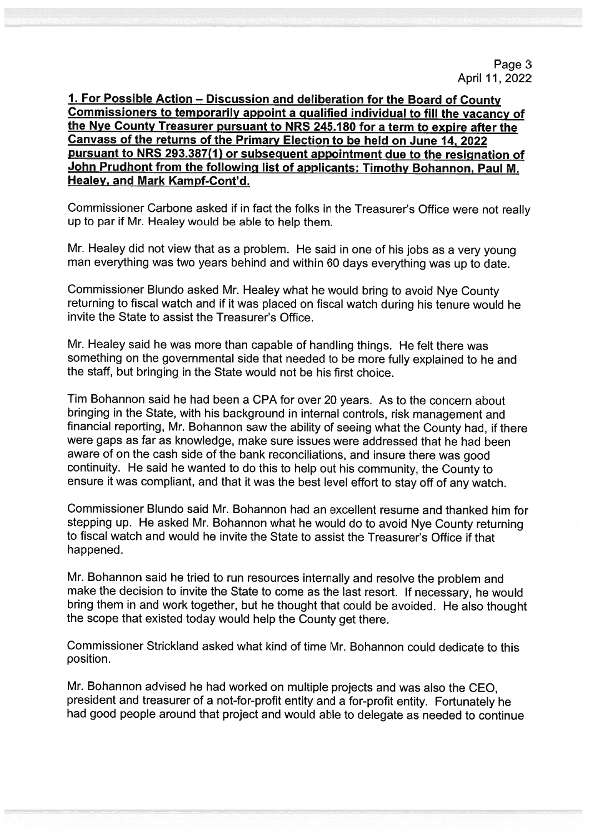Commissioner Carbone asked if in fact the folks in the Treasurer's Office were not realty up to par if Mr. Healey would be able to help them.

Mr. Healey did not view that as a problem. He said in one of his jobs as a very young man everything was two years behind and within 60 days everything was up to date.

Commissioner Blundo asked Mr. Healey what he would bring to avoid Nye County returning to fiscal watch and if it was placed on fiscal watch during his tenure would he invite the State to assist the Treasurer's Office.

Mr. Healey said he was more than capable of handling things. He felt there was something on the governmental side that needed to be more fully explained to he and the staff, but bringing in the State would not be his first choice.

Tim Bohannon said he had been a CPA for over 20 years. As to the concern about bringing in the State, with his background in internal controls, risk management and financial reporting, Mr. Bohannon saw the ability of seeing what the County had, if there were gaps as far as knowledge, make sure issues were addressed that he had been aware of on the cash side of the bank reconciliations, and insure there was good continuity. He said he wanted to do this to help out his community, the County to ensure it was compliant, and that it was the best level effort to stay off of any watch.

Commissioner Blundo said Mr. Bohannon had an excellent resume and thanked him for stepping up. He asked Mr. Bohannon what he would do to avoid Nye County returning to fiscal watch and would he invite the State to assist the Treasurer's Office if that happened.

Mr. Bohannon said he tried to run resources internally and resolve the problem and make the decision to invite the State to come as the last resort. If necessary, he would bring them in and work together, but he thought that could be avoided. He also thought the scope that existed today would help the County get there.

Commissioner Strickland asked what kind of time Mr. Bohannon could dedicate to this position.

Mr. Bohannon advised he had worked on multiple projects and was also the CEO, president and treasurer of a not-for-profit entity and a for-profit entity. Fortunately he had good people around that project and would able to delegate as needed to continue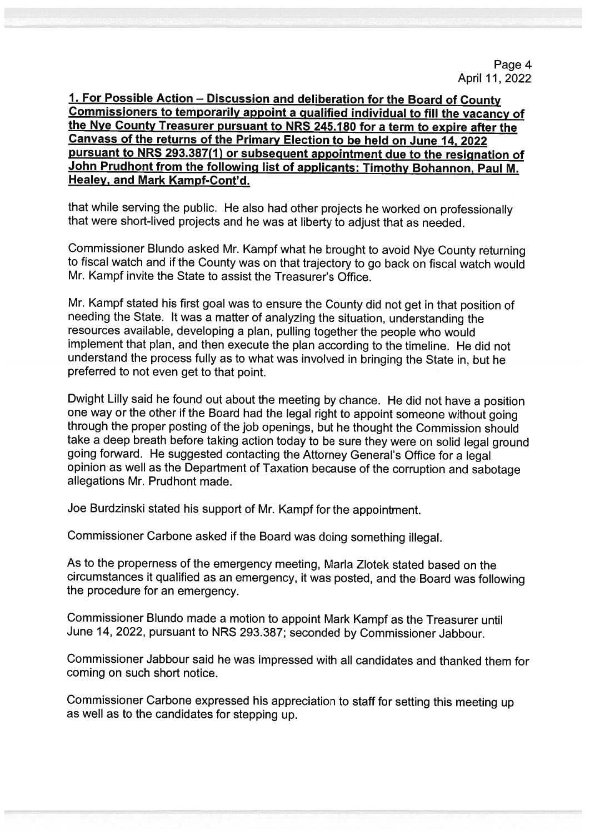that while serving the public. He also had other projects he worked on professionally that were short-lived projects and he was at liberty to adjust that as needed.

Commissioner Blundo asked Mr. Kampf what he brought to avoid Nye County returning to fiscal watch and if the County was on that trajectory to go back on fiscal watch would Mr. Kampf invite the State to assist the Treasurer's Office.

Mr. Kampf stated his first goal was to ensure the County did not get in that position of needing the State. It was <sup>a</sup> matter of analyzing the situation, understanding the resources available, developing <sup>a</sup> <sup>p</sup>lan, pulling together the people who would implement that <sup>p</sup>lan, and then execute the <sup>p</sup>lan according to the timeline. He did not understand the process fully as to what was involved in bringing the State in, but he preferred to not even get to that point.

Dwight Lilly said he found out about the meeting by chance. He did not have <sup>a</sup> position one way or the other if the Board had the legal right to appoint someone without going through the proper posting of the job openings, but he thought the Commission should take <sup>a</sup> deep breath before taking action today to be sure they were on solid legal ground going forward. He suggested contacting the Attorney General's Office for <sup>a</sup> legal opinion as well as the Department of Taxation because of the corruption and sabotage allegations Mr. Prudhont made.

Joe Burdzinski stated his support of Mr. Kampf for the appointment.

Commissioner Carbone asked if the Board was doing something illegal.

As to the properness of the emergency meeting, Maria Zlotek stated based on the circumstances it qualified as an emergency, it was posted, and the Board was following the procedure for an emergency.

Commissioner Biundo made <sup>a</sup> motion to appoint Mark Kampf as the Treasurer until June 14, 2022, pursuant to NRS 293.387; seconded by Commissioner Jabbour.

Commissioner Jabbour said he was impressed with all candidates and thanked them for coming on such short notice.

Commissioner Carbone expressed his appreciation to staff for setting this meeting up as well as to the candidates for stepping up.